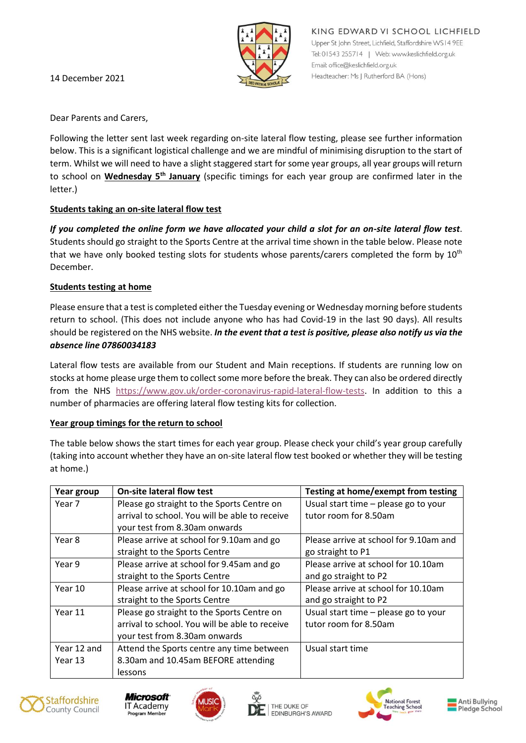

14 December 2021

Dear Parents and Carers,

Following the letter sent last week regarding on-site lateral flow testing, please see further information below. This is a significant logistical challenge and we are mindful of minimising disruption to the start of term. Whilst we will need to have a slight staggered start for some year groups, all year groups will return to school on **Wednesday 5th January** (specific timings for each year group are confirmed later in the letter.)

# **Students taking an on-site lateral flow test**

*If you completed the online form we have allocated your child a slot for an on-site lateral flow test*. Students should go straight to the Sports Centre at the arrival time shown in the table below. Please note that we have only booked testing slots for students whose parents/carers completed the form by  $10^{th}$ December.

# **Students testing at home**

Please ensure that a test is completed either the Tuesday evening or Wednesday morning before students return to school. (This does not include anyone who has had Covid-19 in the last 90 days). All results should be registered on the NHS website. *In the event that a test is positive, please also notify us via the absence line 07860034183*

Lateral flow tests are available from our Student and Main receptions. If students are running low on stocks at home please urge them to collect some more before the break. They can also be ordered directly from the NHS [https://www.gov.uk/order-coronavirus-rapid-lateral-flow-tests.](https://www.gov.uk/order-coronavirus-rapid-lateral-flow-tests) In addition to this a number of pharmacies are offering lateral flow testing kits for collection.

# **Year group timings for the return to school**

The table below shows the start times for each year group. Please check your child's year group carefully (taking into account whether they have an on-site lateral flow test booked or whether they will be testing at home.)

| Year group  | <b>On-site lateral flow test</b>               | Testing at home/exempt from testing    |
|-------------|------------------------------------------------|----------------------------------------|
| Year 7      | Please go straight to the Sports Centre on     | Usual start time - please go to your   |
|             | arrival to school. You will be able to receive | tutor room for 8.50am                  |
|             | your test from 8.30am onwards                  |                                        |
| Year 8      | Please arrive at school for 9.10am and go      | Please arrive at school for 9.10am and |
|             | straight to the Sports Centre                  | go straight to P1                      |
| Year 9      | Please arrive at school for 9.45am and go      | Please arrive at school for 10.10am    |
|             | straight to the Sports Centre                  | and go straight to P2                  |
| Year 10     | Please arrive at school for 10.10am and go     | Please arrive at school for 10.10am    |
|             | straight to the Sports Centre                  | and go straight to P2                  |
| Year 11     | Please go straight to the Sports Centre on     | Usual start time - please go to your   |
|             | arrival to school. You will be able to receive | tutor room for 8.50am                  |
|             | your test from 8.30am onwards                  |                                        |
| Year 12 and | Attend the Sports centre any time between      | Usual start time                       |
| Year 13     | 8.30am and 10.45am BEFORE attending            |                                        |
|             | lessons                                        |                                        |